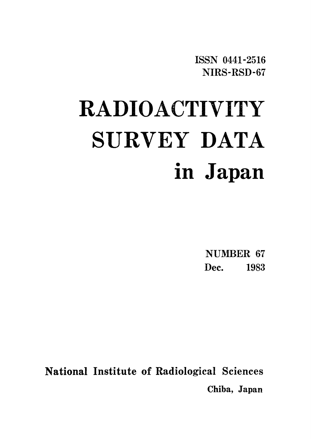ISSN 0441-2516 NIRS-RSD-67

# RADIOACTIVITY SURVEY DATA in Japan

NUMBER 67 Dec. 1983

National Institute of Radiological Sciences Chiba, Japan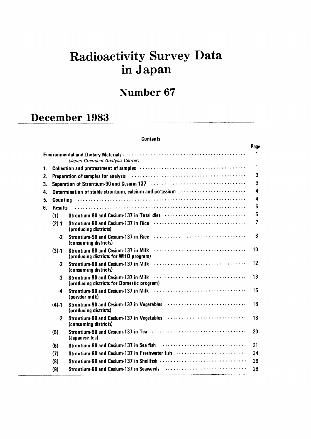# Radioactivity Survey Data inJapan

# Number 67

# December 1983

#### **Contents**

|    |                 |                                                                                                                                                  | Page |
|----|-----------------|--------------------------------------------------------------------------------------------------------------------------------------------------|------|
|    |                 | (Japan Chemical Analysis Center)                                                                                                                 | 1    |
| 1. |                 | Collection and pretreatment of samples (and accommodation of the collection and pretreatment of samples (and accommodation of the collection and | 1    |
| 2. |                 | Preparation of samples for analysis (and accommodation of samples for analysis) (and accommodation of samples                                    | 3    |
| 3. |                 | Separation of Strontium-90 and Cesium-137 (and accommodation of Strontium of Strontium                                                           | 3    |
| 4. |                 | Determination of stable strontium, calcium and potassium <b>contract to the strong of the Strong</b>                                             | 4    |
| 5. | <b>Counting</b> |                                                                                                                                                  | 4    |
| 6. | <b>Results</b>  |                                                                                                                                                  | 5    |
|    | (1)             |                                                                                                                                                  | 5    |
|    | $(2) - 1$       | (producing districts)                                                                                                                            | 7    |
|    | $\cdot$ 2       | (consuming districts)                                                                                                                            | 8    |
|    | $(3) - 1$       | Strontium-90 and Cesium-137 in Milk<br>(producing districts for WHO program)                                                                     | 10   |
|    | -2              | Strontium-90 and Cesium-137 in Milk<br>(consuming districts)                                                                                     | 12   |
|    | $-3$            | Strontium-90 and Cesium-137 in Milk<br>(producing districts for Domestic program)                                                                | 13   |
|    | $\cdot$ 4       | (powder milk)                                                                                                                                    | 15   |
|    | $(4) - 1$       | Strontium-90 and Cesium-137 in Vegetables<br>(producing districts)                                                                               | 16   |
|    | $\cdot$         | (consuming districts)                                                                                                                            | 18   |
|    | (5)             | (Japanese tea)                                                                                                                                   | 20   |
|    | (6)             | Strontium-90 and Cesium-137 in Sea fish                                                                                                          | 21   |
|    | (7)             | Strontium-90 and Cesium-137 in Freshwater fish                                                                                                   | 24   |
|    | (8)             |                                                                                                                                                  | 26   |
|    | (9)             | Strontium-90 and Cesium-137 in Seaweeds                                                                                                          | 28   |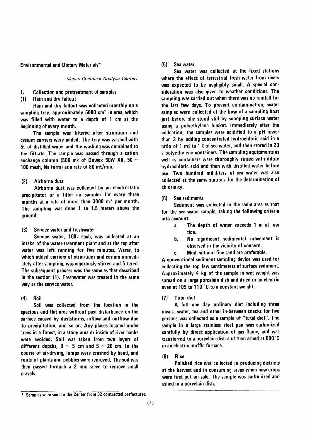#### **Environmental and Dietary Materials\***

#### (Japan Chemical Analysis Center)

#### 1. **Collection and pretreatment of samples**

 $(1)$ Rain and dry fallout

Rain and dry fallout was collected monthly on a sampling tray, approximately 5000  $\text{cm}^2$  in area, which was filled with water to a depth of 1 cm at the beginning of every month.

The sample was filtered after strontium and cesium carriers were added. The tray was washed with  $5\ell$  of distilled water and the washing was combined to the filtrate. The sample was passed through a cation exchange column (500 m $\ell$  of Dowex 50W X8, 50  $\sim$ 100 mesh, Na form) at a rate of 80 m $\ell$ /min.

#### Airborne dust  $(2)$

Airborne dust was collected by an electrostatic precipitator or a filter air sampler for every three months at a rate of more than 3000 m<sup>3</sup> per month. The sampling was done 1 to 1.5 meters above the ground.

#### $(3)$ Service water and freshwater

Service water, 1000 each, was collected at an intake of the water-treatment plant and at the tap after water was left running for five minutes. Water, to which added carriers of strontium and cesium immediately after sampling, was vigorously stirred and filtered. The subsequent process was the same as that described in the section (1). Freshwater was treated in the same way as the service water.

#### $(4)$ Soil

Soil was collected from the location in the spacious and flat area without past disturbance on the surface caused by duststorms, inflow and outflow due to precipitation, and so on. Any places located under trees in a forest, in a stony area or inside of river banks were avoided. Soil was taken from two layers of different depths,  $0 \sim 5$  cm and  $5 \sim 20$  cm. In the course of air-drying, lumps were crushed by hand, and roots of plants and pebbles were removed. The soil was then passed through a 2 mm sieve to remove small gravels.

#### $(5)$ Sea water

Sea water was collected at the fixed stations where the effect of terrestrial fresh water from rivers was expected to be negligibly small. A special consideration was also given to weather conditions. The sampling was carried out when there was no rainfall for the last few days. To prevent contamination, water samples were collected at the bow of a sampling boat just before she stood still by scooping surface water using a polyethylene bucket. Immediately after the collection, the samples were acidified to a pH lower than 3 by adding concentrated hydrochloric acid in a ratio of 1 m $\ell$  to 1  $\ell$  of sea water, and then stored in 20  $\ell$  polyethylene containers. The sampling equipments as well as containers were thoroughly rinsed with dilute hydrochloric acid and then with distilled water before use. Two hundred milliliters of sea water was also collected at the same stations for the determination of chlorinity.

#### $(6)$ Sea sediments

Sediment was collected in the same area as that for the sea water sample, taking the following criteria into account:

- The depth of water exceeds 1 m at low  $\overline{a}$ . tide.
- No significant sedimental movement is h. observed in the vicinity of concern.
- Mud, silt and fine sand are preferable. c.

A conventional sediment sampling device was used for collecting the top few centimeters of surface sediment. Approximately 4 kg of the sample in wet weight was spread on a large porcelain dish and dried in an electric oven at 105 to 110 °C to a constant weight.

#### **Total diet**  $(7)$

A full one day ordinary diet including three meals, water, tea and other in-between snacks for five persons was collected as a sample of "total diet". The sample in a large stainless steel pan was carbonized carefully by direct application of gas flame, and was transferred to a porcelain dish and then ashed at 500°C in an electric muffle furnace.

#### $(8)$ Rice

Polished rice was collected in producing districts at the harvest and in consuming areas when new crops were first put on sale. The sample was carbonized and ashed in a porcelain dish.

<sup>\*</sup> Samples were sent to the Center from 32 contracted prefectures.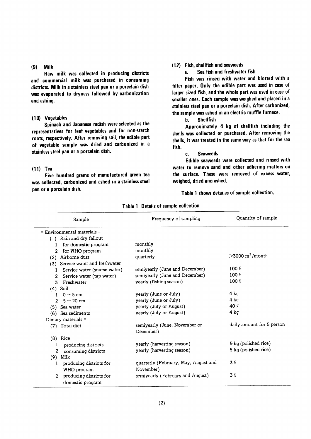#### $(9)$ Milk

Raw milk was collected in producing districts and commercial milk was purchased in consuming districts. Milk in a stainless steel pan or a porcelain dish was evaporated to dryness followed by carbonization and ashing.

#### (10) Vegetables

Spinach and Japanese radish were selected as the representatives for leaf vegetables and for non-starch roots, respectively. After removing soil, the edible part of vegetable sample was dried and carbonized in a stainless steel pan or a porcelain dish.

#### $(11)$  Tea

Five hundred grams of manufactured green tea was collected, carbonized and ashed in a stainless steel pan or a porcelain dish.

#### (12) Fish, shellfish and seaweeds

Sea fish and freshwater fish a.

Fish was rinsed with water and blotted with a filter paper. Only the edible part was used in case of larger sized fish, and the whole part was used in case of smaller ones. Each sample was weighed and placed in a stainless steel pan or a porcelain dish. After carbonized, the sample was ashed in an electric muffle furnace.

> **Shellfish**  $\mathbf{h}$ .

Approximately 4 kg of shellfish including the shells was collected or purchased. After removing the shells, it was treated in the same way as that for the sea fish.

#### **Seaweeds** c.

Edible seaweeds were collected and rinsed with water to remove sand and other adhering matters on the surface. These were removed of excess water, weighed, dried and ashed.

Table 1 shows detailes of sample collection.

| Sample                                    | Frequency of sampling                | Quantity of sample               |
|-------------------------------------------|--------------------------------------|----------------------------------|
| $=$ Environmental materials $=$           |                                      |                                  |
| (1) Rain and dry fallout                  |                                      |                                  |
| for domestic program<br>1                 | monthly                              |                                  |
| for WHO program<br>2                      | monthly                              |                                  |
| Airborne dust<br>(2)                      | quarterly                            | $>3000 \text{ m}^3/\text{month}$ |
| Service water and freshwater<br>(3)       |                                      |                                  |
| Service water (sourse water)<br>1         | semiyearly (June and December)       | $100 \ell$                       |
| Service water (tap water)<br>2            | semiyearly (June and December)       | $100 \ell$                       |
| Freshwater<br>3.                          | yearly (fishing season)              | $100 \ell$                       |
| Soil<br>(4)                               |                                      |                                  |
| $0 \sim 5$ cm<br>1                        | yearly (June or July)                | 4 kg                             |
| $5 \sim 20$ cm<br>$\mathcal{L}$           | yearly (June or July)                | $4$ kg                           |
| (5) Sea water                             | yearly (July or August)              | 40 R                             |
| Sea sediments<br>(6)                      | yearly (July or August)              | $4$ kg                           |
| = Dietary materials $=$                   |                                      |                                  |
| (7) Total diet                            | semiyearly (June, November or        | daily amount for 5 person        |
|                                           | December)                            |                                  |
| $(8)$ Rice                                |                                      |                                  |
| producing districts<br>1                  | yearly (harvesting season)           | 5 kg (polished rice)             |
| $\mathbf{2}$<br>consuming districts       | yearly (harvesting season)           | 5 kg (polished rice)             |
| Milk<br>(9)                               |                                      |                                  |
| producing districts for<br>1              | quarterly (February, May, August and | 3 Q                              |
| WHO program                               | November)                            |                                  |
| producing districts for<br>$\mathfrak{D}$ | semiyearly (February and August)     | 3 Q                              |
| domestic program                          |                                      |                                  |

Table 1 Details of sample collection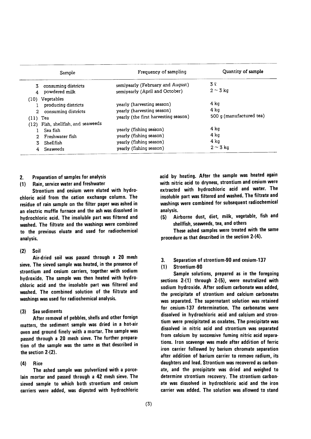|                                                 | Sample                                                | Frequency of sampling                                                                                    | Quantity of sample                       |
|-------------------------------------------------|-------------------------------------------------------|----------------------------------------------------------------------------------------------------------|------------------------------------------|
| 3.                                              | consuming districts<br>powdered milk                  | semiyearly (February and August)<br>semiyearly (April and October)                                       | 3 l<br>$2 \sim 3$ kg                     |
| (10) Vegetables<br>$\overline{2}$<br>$(11)$ Tea | producing districts<br>consuming districts            | yearly (harvesting season)<br>yearly (harvesting season)<br>yearly (the first harvesting season)         | 4 ka<br>4 ka<br>500 g (manufactured tea) |
| Sea fish<br>2.<br>Shellfish<br>Seaweeds         | (12) Fish, shellfish, and seaweeds<br>Freshwater fish | yearly (fishing season)<br>yearly (fishing season)<br>yearly (fishing season)<br>yearly (fishing season) | 4 ka<br>4 ka<br>4 kg<br>$2 \sim 3$ kg    |

#### Preparation of samples for analysis  $2.$

#### Rain, service water and freshwater  $(1)$

Strontium and cesium were eluted with hydrochloric acid from the cation exchange column. The residue of rain sample on the filter paper was ashed in an electric muffle furnace and the ash was dissolved in hydrochloric acid. The insoluble part was filtered and washed. The filtrate and the washings were combined to the previous eluate and used for radiochemical analysis.

#### Soil  $(2)$

Air-dried soil was passed through a 20 mesh sieve. The sieved sample was heated, in the presence of strontium and cesium carriers, together with sodium hydroxide. The sample was then heated with hydrochloric acid and the insoluble part was filtered and washed. The combined solution of the filtrate and washings was used for radiochemical analysis.

#### Sea sediments  $(3)$

After removal of pebbles, shells and other foreign matters, the sediment sample was dried in a hot-air oven and ground finely with a mortar. The sample was passed through a 20 mesh sieve. The further preparation of the sample was the same as that described in the section  $2(2)$ .

#### $(4)$ **Rice**

The ashed sample was pulverlized with a porcelain mortar and passed through a 42 mesh sieve. The sieved sample to which both strontium and cesium carriers were added, was digested with hydrochloric acid by heating. After the sample was heated again with nitric acid to dryness, strontium and cesium were extracted with hydrochloric acid and water. The insoluble part was filtered and washed. The filtrate and washings were combined for subsequent radiochemical analysis.

Airborne dust, diet, milk, vegetable, fish and  $(5)$ shellfish, seaweeds, tea, and others

These ashed samples were treated with the same procedure as that described in the section 2-(4).

3. Separation of strontium-90 and cesium-137

#### $(1)$ Strontium-90

Sample solutions, prepared as in the foregoing sections  $2-(1)$  through  $2-(5)$ , were neutralized with sodium hydroxide. After sodium carbonate was added, the precipitate of strontium and calcium carbonates was separated. The supernatant solution was retained for cesium-137 determination. The carbonates were dissolved in hydrochloric acid and calcium and strontium were precipitated as oxalates. The precipitate was dissolved in nitric acid and strontium was separated from calcium by successive fuming nitric acid separations. Iron scavenge was made after addition of ferric iron carrier followed by barium chromate separation after addition of barium carrier to remove radium, its daughters and lead. Strontium was recovered as carbonate, and the precipitate was dried and weighed to determine strontium recovery. The strontium carbonate was dissolved in hydrochloric acid and the iron carrier was added. The solution was allowed to stand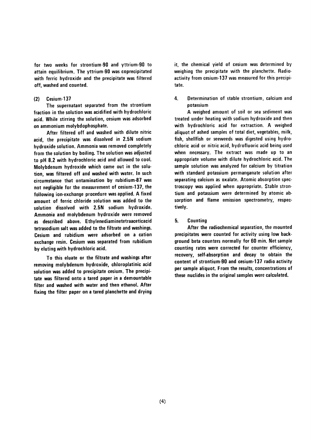for two weeks for strontium-90 and yttrium-90 to attain equilibrium. The yttrium-90 was coprecipitated with ferric hydroxide and the precipitate was filtered off. washed and counted.

#### Cesium-137  $(2)$

The supernatant separated from the strontium fraction in the solution was acidified with hydrochloric acid. While stirring the solution, cesium was adsorbed on ammonium molybdophosphate.

After filtered off and washed with dilute nitric acid, the precipitate was dissolved in 2.5N sodium hydroxide solution. Ammonia was removed completely from the solution by boiling. The solution was adjusted to pH 8.2 with hydrochloric acid and allowed to cool. Molybdenum hydroxide which came out in the solution, was filtered off and washed with water. In such circumstance that ontamination by rubidium-87 was not negligible for the measurement of cesium-137, the following ion-exchange procedure was applied. A fixed amount of ferric chloride solution was added to the solution dissolved with 2.5N sodium hydroxide. Ammonia and molybdenum hydroxide were removed as described above. Ethylenediaminetetraaceticacid tetrasodium salt was added to the filtrate and washings. Cesium and rubidium were adsorbed on a cation exchange resin. Cesium was separated from rubidium by eluting with hydrochloric acid.

To this eluate or the filtrate and washings after removing molybdenum hydroxide, chloroplatinic acid solution was added to precipitate cesium. The precipitate was filtered onto a tared paper in a demountable filter and washed with water and then ethanol. After fixing the filter paper on a tared planchette and drying it, the chemical yield of cesium was determined by weighing the precipitate with the planchette. Radioactivity from cesium-137 was measured for this precipitate.

#### Determination of stable strontium, calcium and 4. potassium

A weighed amount of soil or sea sediment was treated under heating with sodium hydroxide and then with hydrochloric acid for extraction. A weighed aliquot of ashed samples of total diet, vegetables, milk, fish, shellfish or seeweeds was digested using hydrochloric acid or nitric acid, hydrofluoric acid being used when necessary. The extract was made up to an appropriate volume with dilute hydrochloric acid. The sample solution was analyzed for calcium by titration with standard potassium permanganate solution after separating calcium as oxalate. Atomic absorption spectroscopy was applied when appropriate. Stable strontium and potassium were determined by atomic absorption and flame emission spectrometry, respectively.

#### $5.$ Counting

After the radiochemical separation, the mounted precipitates were counted for activity using low background beta counters normally for 60 min. Net sample counting rates were corrected for counter efficiency. recovery, self-absorption and decay to obtain the content of strontium-90 and cesium-137 radio activity per sample aliquot. From the results, concentrations of these nuclides in the original samples were calculated.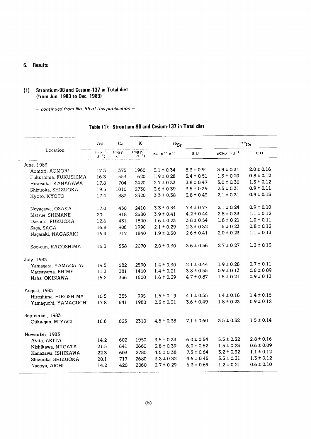#### 6. Results

#### (1) Strontium-90 and Cesium-137 in Total diet (†ro叩Jun.1983toDec.1983)

 $-$  continued from No. 65 of this publication  $-$ 

|                      | Ash                         | Ca                                                          | K          | $90$ <sub>Sr</sub>            |                |                           | $137C_S$       |
|----------------------|-----------------------------|-------------------------------------------------------------|------------|-------------------------------|----------------|---------------------------|----------------|
| Location             | $(g p^{-1}$ .<br>$d^{-1}$ ) | $(mg \cdot p \cdot 1)$ $(mg \cdot p \cdot 1)$<br>$d^{-1}$ ) | $d^{-1}$ ) | $pCi\cdot p^{-1}\cdot d^{-1}$ | S.U.           | $pCi p^{-1} \cdot d^{-1}$ | C. U.          |
| June, 1983           |                             |                                                             |            |                               |                |                           |                |
| Aomori, AOMORI       | 17.3                        | 375                                                         | 1960       | $3.1 \pm 0.34$                | $8.3 \pm 0.91$ | $3.9 \pm 0.31$            | $2.0 \pm 0.16$ |
| Fukushima, FUKUSHIMA | 16.3                        | 553                                                         | 1620       | $1.9 \pm 0.28$                | $3.4 \pm 0.51$ | $1.3 \pm 0.20$            | $0.8 \pm 0.12$ |
| Hiratsuka, KANAGAWA  | 17.8                        | 704                                                         | 2420       | $2.7 \pm 0.33$                | $3.8 \pm 0.47$ | $3.0 \pm 0.30$            | $1.3 \pm 0.12$ |
| Shizuoka, SHIZUOKA   | 19.5                        | 1010                                                        | 2730       | $3.6 \pm 0.39$                | $3.5 \pm 0.39$ | $2.5 \pm 0.31$            | $0.9 \pm 0.11$ |
| Kyoto, KYOTO         | 17.4                        | 883                                                         | 2320       | $3.3 \pm 0.38$                | $3.8 \pm 0.43$ | $2.1 \pm 0.31$            | $0.9 \pm 0.13$ |
| Neyagawa, OSAKA      | 17.0                        | 450                                                         | 2410       | $3.3 \pm 0.34$                | $7.4 \pm 0.77$ | $2.1 \pm 0.24$            | $0.9 \pm 0.10$ |
| Matsue, SHIMANE      | 20.1                        | 918                                                         | 2680       | $3.9 \pm 0.41$                | $4.2 \pm 0.44$ | $2.8 \pm 0.33$            | $1.1 \pm 0.12$ |
| Dazaifu, FUKUOKA     | 12.6                        | 431                                                         | 1840       | $1.6 \pm 0.23$                | $3.8 \pm 0.54$ | $1.8 \pm 0.21$            | $1.0 \pm 0.11$ |
| Saga, SAGA           | 16.8                        | 906                                                         | 1990       | $2.1 \pm 0.29$                | $2.3 \pm 0.32$ | $1.5 \pm 0.23$            | $0.8 \pm 0.12$ |
| Nagasaki, NAGASAKI   | 16.4                        | 717                                                         | 1840       | $1.9 \pm 0.30$                | $2.6 \pm 0.41$ | $2.0 \pm 0.23$            | $1.1 \pm 0.13$ |
| Soo-qun, KAGOSHIMA   | 16.3                        | 538                                                         | 2070       | $2.0 \pm 0.30$                | $3.6 \pm 0.56$ | $2.7 \pm 0.27$            | $1.3 \pm 0.13$ |
| July, 1983           |                             |                                                             |            |                               |                |                           |                |
| Yamagata, YAMAGATA   | 19.5                        | 682                                                         | 2590       | $1.4 \pm 0.30$                | $2.1 \pm 0.44$ | $1.9 \pm 0.28$            | $0.7 \pm 0.11$ |
| Matsuyama, EHIME     | 11.3                        | 381                                                         | 1460       | $1.4 \pm 0.21$                | $3.8 \pm 0.55$ | $0.9 \pm 0.13$            | $0.6 \pm 0.09$ |
| Naha, OKINAWA        | 16.2                        | 336                                                         | 1600       | $1.6 \pm 0.29$                | $4.7 \pm 0.87$ | $1.5 \pm 0.21$            | $0.9 \pm 0.13$ |
| August, 1983         |                             |                                                             |            |                               |                |                           |                |
| Hiroshima, HIROSHIMA | 10.5                        | 355                                                         | 995        | $1.5 \pm 0.19$                | $4.1 \pm 0.55$ | $1.4 \pm 0.16$            | $1.4 \pm 0.16$ |
| Yamaquchi, YAMAGUCHI | 17.8                        | 641                                                         | 1980       | $2.3 \pm 0.31$                | $3.6 \pm 0.49$ | $1.8 \pm 0.23$            | $0.9 \pm 0.12$ |
| September, 1983      |                             |                                                             |            |                               |                |                           |                |
| Ojika-gun, MIYAGI    | 16.6                        | 625                                                         | 2310       | $4.5 \pm 0.38$                | $7.1 \pm 0.60$ | $3.5 \pm 0.32$            | $1.5 \pm 0.14$ |
| November, 1983       |                             |                                                             |            |                               |                |                           |                |
| Akita, AKITA         | 14.2                        | 602                                                         | 1950       | $3.6 \pm 0.33$                | $6.0 \pm 0.54$ | $5.5 \pm 0.32$            | $2.8 \pm 0.16$ |
| Nishikawa, NIIGATA   | 21.5                        | 641                                                         | 2660       | $3.8 \pm 0.39$                | $6.0 \pm 0.62$ | $1.5 \pm 0.23$            | $0.6 \pm 0.09$ |
| Kanazawa, ISHIKAWA   | 22.3                        | 603                                                         | 2780       | $4.5 \pm 0.38$                | $7.5 \pm 0.64$ | $3.2 \pm 0.32$            | $1.1 \pm 0.12$ |
| Shizuoka, SHIZUOKA   | 20.1                        | 717                                                         | 2680       | $3.3 \pm 0.32$                | $4.6 \pm 0.45$ | $3.5 \pm 0.31$            | $1.3 \pm 0.12$ |
| Nagoya, AICHI        | 14.2                        | 420                                                         | 2060       | $2.7 \pm 0.29$                | $6.3 \pm 0.69$ | $1.2 \pm 0.21$            | $0.6 \pm 0.10$ |

## Table (1): Strontium-90 and Cesium-137 in Total diet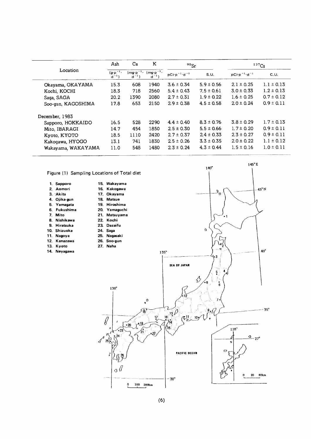|                    | Ash                              | Ca                              | K                           | $90$ Sr                 |                | 137C <sub>S</sub>       |                |
|--------------------|----------------------------------|---------------------------------|-----------------------------|-------------------------|----------------|-------------------------|----------------|
| Location           | $(g \cdot p^{-1})$<br>$d^{-1}$ ) | $(mg \cdot p^{-1})$<br>$d^{-1}$ | $(mg p^{-1})$<br>$d^{-1}$ ) | $pCip^{-1}\cdot d^{-1}$ | S.U.           | $pCip^{-1}\cdot d^{-1}$ | C.U.           |
| Okayama, OKAYAMA   | 15.3                             | 608                             | 1940                        | $3.6 \pm 0.34$          | $5.9 \pm 0.56$ | $2.1 \pm 0.25$          | $1.1 \pm 0.13$ |
| Kochi, KOCHI       | 18.3                             | 718                             | 2560                        | $5.4 \pm 0.43$          | $7.5 \pm 0.61$ | $3.0 \pm 0.33$          | $1.2 \pm 0.13$ |
| Saga, SAGA         | 20.2                             | 1390                            | 2080                        | $2.7 \pm 0.31$          | $1.9 \pm 0.22$ | $1.6 \pm 0.25$          | $0.7 \pm 0.12$ |
| Soo-qun, KAGOSHIMA | 17.8                             | 653                             | 2150                        | $2.9 \pm 0.38$          | $4.5 \pm 0.58$ | $20 \pm 0.24$           | $0.9 \pm 0.11$ |
| December, 1983     |                                  |                                 |                             |                         |                |                         |                |
| Sapporo, HOKKAIDO  | 16.5                             | 528                             | 2290                        | $4.4 \pm 0.40$          | $8.3 \pm 0.76$ | $3.8 \pm 0.29$          | $1.7 \pm 0.13$ |
| Mito, IBARAGI      | 14.7                             | 454                             | 1850                        | $2.5 \pm 0.30$          | $5.5 \pm 0.66$ | $1.7 \pm 0.20$          | $0.9 \pm 0.11$ |
| Kyoto, KYOTO       | 18.5                             | 1110                            | 2420                        | $2.7 \pm 0.37$          | $2.4 \pm 0.33$ | $2.3 \pm 0.27$          | $0.9 \pm 0.11$ |
| Kakogawa, HYOGO    | 13.1                             | 741                             | 1830                        | $2.5 \pm 0.26$          | $3.3 \pm 0.35$ | $2.0 \pm 0.22$          | $1.1 \pm 0.12$ |
| Wakayama, WAKAYAMA | 11.0                             | 548                             | 1480                        | $2.3 \pm 0.24$          | $4.3 \pm 0.44$ | $1.5 \pm 0.16$          | $1.0 \pm 0.11$ |

Figure (1) Sampling Locations of Total diet

1.Sapporo 2.Aomori 3. Akita 4.Ojika-9un 5.Yamagata 6.Fukushima 7. Mito 8. Nishikawa 9. Hiratsuka 10. Shizuoka 11. Nagoya 12.Kanazawa 13.Kyot0 14. Neyagawa

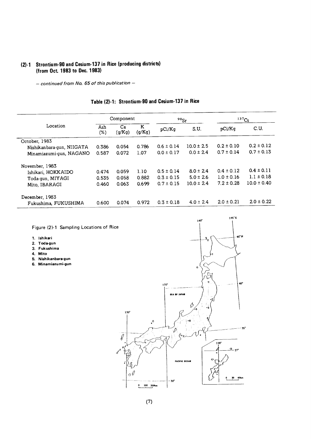#### (2)-1 Strontium-90 and Cesium-137 in Rice (producing distri (from Oct. 1983 to Dec. 1)

 $-$  continued from No. 65 of this publication  $-$ 

|                           |            | Component    |             | $90$ Sr        |                | 137Cs          |                 |  |
|---------------------------|------------|--------------|-------------|----------------|----------------|----------------|-----------------|--|
| Location                  | Ash<br>(%) | Ca<br>(q/Kq) | K<br>(g/Kg) | pCi/Kg         | S.U.           | pCi/Kq         | C.U.            |  |
| October, 1983             |            |              |             |                |                |                |                 |  |
| Nishikanbara-gun, NIIGATA | 0.386      | 0.054        | 0.786       | $0.6 \pm 0.14$ | $10.0 \pm 2.5$ | $0.2 \pm 0.10$ | $0.2 \pm 0.12$  |  |
| Minamiazumi-gun, NAGANO   | 0.587      | 0.072        | 1.07        | $0.0 \pm 0.17$ | $0.0 \pm 2.4$  | $0.7 \pm 0.14$ | $0.7 \pm 0.13$  |  |
| November, 1983            |            |              |             |                |                |                |                 |  |
| Ishikari, HOKKAIDO        | 0.474      | 0.059        | 1.10        | $0.5 \pm 0.14$ | $8.0 \pm 2.4$  | $0.4 \pm 0.12$ | $0.4 \pm 0.11$  |  |
| Toda-gun, MIYAGI          | 0.535      | 0.058        | 0.882       | $0.3 \pm 0.15$ | $5.0 \pm 2.6$  | $1.0 \pm 0.16$ | $1.1 \pm 0.18$  |  |
| Mito, IBARAGI             | 0.460      | 0.063        | 0.699       | $0.7 \pm 0.15$ | $10.0 \pm 2.4$ | $7.2 \pm 0.28$ | $10.0 \pm 0.40$ |  |
| December, 1983            |            |              |             |                |                |                |                 |  |
| Fukushima, FUKUSHIMA      | 0.600      | 0.074        | 0.972       | $0.3 \pm 0.18$ | $4.0 \pm 2.4$  | $2.0 \pm 0.21$ | $2.0 \pm 0.22$  |  |

## Table (2)-1: Strontium-90 and Cesium-137 in Rice

Figure (2)-1 Sampling Locations of Rice

- 1. Ishikari
- 2. Toda-gun
- 3.Fukushima
- 4.Mit0
- 
- 5. Nishikanbara-gun 6.Minamiazumi・gun



 $145^\circ$  E

 $140'$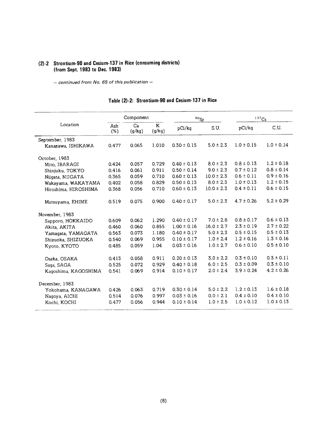## (2)-2 Strontium-90 and Cesium-137 in Rice (consuming districts) (from Sept. 1983 to Dec. 1983)

 $-$  continued from No. 65 of this publication  $-$ 

|                      |            | Component    |                       | $90$ Sr         |                | 137C <sub>S</sub> |                |
|----------------------|------------|--------------|-----------------------|-----------------|----------------|-------------------|----------------|
| Location             | Ash<br>(%) | Ca<br>(g/kg) | $\mathbf K$<br>(g/kg) | pCi/kg          | S.U.           | pCi/kg            | C.U.           |
| September, 1983      |            |              |                       |                 |                |                   |                |
| Kanazawa, ISHIKAWA   | 0.477      | 0.065        | 1.010                 | $0.30 \pm 0.15$ | $5.0 \pm 2.3$  | $1.0 \pm 0.15$    | $1.0 \pm 0.14$ |
| October, 1983        |            |              |                       |                 |                |                   |                |
| Mito, IBARAGI        | 0.424      | 0.057        | 0.729                 | $0.40 \pm 0.13$ | $8.0 \pm 2.3$  | $0.8 \pm 0.13$    | $1.2 \pm 0.18$ |
| Shinjuku, TOKYO      | 0.416      | 0.061        | 0.911                 | $0.50 \pm 0.14$ | $9.0 \pm 2.3$  | $0.7 \pm 0.12$    | $0.8 \pm 0.14$ |
| Niigata, NIIGATA     | 0.365      | 0.059        | 0.710                 | $0.60 \pm 0.13$ | $10.0 \pm 2.3$ | $0.6 \pm 0.11$    | $0.9 \pm 0.16$ |
| Wakayama, WAKAYAMA   | 0.402      | 0.058        | 0.829                 | $0.50 \pm 0.13$ | $8.0 \pm 2.3$  | $1.0 \pm 0.13$    | $1.2 \pm 0.15$ |
| Hiroshima, HIROSHIMA | 0.368      | 0.056        | 0.710                 | $0.60 \pm 0.13$ | $10.0 \pm 2.3$ | $0.4 \pm 0.11$    | $0.6 \pm 0.15$ |
| Matsuyama, EHIME     | 0.519      | 0.075        | 0.900                 | $0.40 \pm 0.17$ | $5.0 \pm 2.3$  | $4.7 \pm 0.26$    | $5.2 \pm 0.29$ |
| November, 1983       |            |              |                       |                 |                |                   |                |
| Sapporo, HOKKAIDO    | 0.609      | 0.062        | 1.290                 | $0.40 \pm 0.17$ | $7.0 \pm 2.8$  | $0.8 \pm 0.17$    | $0.6 \pm 0.13$ |
| Akita, AKITA         | 0.460      | 0.060        | 0.855                 | $1.00 \pm 0.16$ | $16.0 \pm 2.7$ | $2.3 \pm 0.19$    | $2.7 \pm 0.22$ |
| Yamagata, YAMAGATA   | 0.563      | 0.073        | 1.180                 | $0.40 \pm 0.17$ | $5.0 \pm 2.3$  | $0.5 \pm 0.15$    | $0.5 \pm 0.13$ |
| Shizuoka, SHIZUOKA   | 0.540      | 0.069        | 0.955                 | $0.10 \pm 0.17$ | $1.0 \pm 2.4$  | $1.2 \pm 0.16$    | $1.3 \pm 0.16$ |
| Kyoto, KYOTO         | 0.485      | 0.059        | 1.04                  | $0.03 \pm 0.16$ | $1.0 \pm 2.7$  | $0.6 \pm 0.10$    | $0.5 \pm 0.10$ |
| Osaka, OSAKA         | 0.413      | 0.058        | 0.911                 | $0.20 \pm 0.13$ | $3.0 \pm 2.2$  | $0.3 \pm 0.10$    | $0.3 \pm 0.11$ |
| Saga, SAGA           | 0.525      | 0.072        | 0.929                 | $0.40 \pm 0.18$ | $6.0 \pm 2.5$  | $0.3 \pm 0.09$    | $0.3 \pm 0.10$ |
| Kagoshima, KAGOSHIMA | 0.541      | 0.069        | 0.914                 | $0.10 \pm 0.17$ | $2.0 \pm 2.4$  | $3.9 \pm 0.24$    | $4.2 \pm 0.26$ |
| December, 1983       |            |              |                       |                 |                |                   |                |
| Yokohama, KANAGAWA   | 0.426      | 0.063        | 0.719                 | $0.30 \pm 0.14$ | $5.0 \pm 2.2$  | $1.2 \pm 0.13$    | $1.6 \pm 0.18$ |
| Nagoya, AICHI        | 0.514      | 0.076        | 0.997                 | $0.03 \pm 0.16$ | $0.0 \pm 2.1$  | $0.4 \pm 0.10$    | $0.4 \pm 0.10$ |
| Kochi, KOCHI         | 0.477      | 0.056        | 0.944                 | $0.10 \pm 0.14$ | $1.0 \pm 2.5$  | $1.0 \pm 0.12$    | $1.0 \pm 0.13$ |

## Table (2)-2: Strontium-90 and Cesium-137 in Rice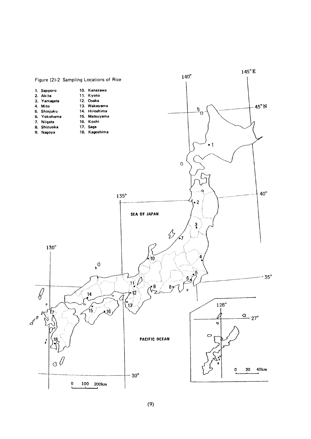

 $(9)$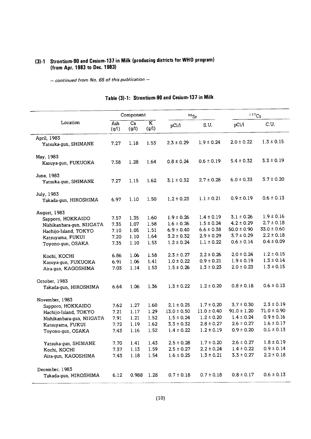## (3)-1 Strontium-90 and Cesium-137 in Milk (producing districts for WHO program) (from Apr. 1983 to Dec. 1983)

 $-$  continued from No. 65 of this publication  $−$ 

|                            |              | Component                |                                  | $90$ Sr         |                 | 137C <sub>S</sub> |                 |
|----------------------------|--------------|--------------------------|----------------------------------|-----------------|-----------------|-------------------|-----------------|
| Location                   | Ash<br>(g/l) | $\overline{Ca}$<br>(g/l) | $\overline{\mathbf{K}}$<br>(g/l) | pCi/1           | S.U.            | pCi/1             | C.U.            |
| April, 1983                |              |                          |                                  |                 |                 |                   |                 |
| Yatsuka-gun, SHIMANE       | 7.27         | 1.18                     | 1.53                             | $2.3 \pm 0.29$  | $1.9 \pm 0.24$  | $2.0 \pm 0.22$    | $1.3 \pm 0.15$  |
| May, 1983                  |              |                          |                                  |                 |                 |                   |                 |
| Kasuya-gun, FUKUOKA        | 7.38         | 1.28                     | 1.64                             | $0.8 \pm 0.24$  | $0.6 \pm 0.19$  | $5.4 \pm 0.32$    | $3.3 \pm 0.19$  |
| June, 1983                 |              |                          |                                  |                 |                 |                   |                 |
| Yatsuka-gun, SHIMANE       | 7.27         | 1.15                     | 1.62                             | $3.1 \pm 0.32$  | $2.7 \pm 0.28$  | $6.0 \pm 0.33$    | $3.7 \pm 0.20$  |
| July, 1983                 |              |                          |                                  |                 |                 |                   |                 |
| Takada-gun, HIROSHIMA      | 6.97         | 1.10                     | 1.50                             | $1.2 \pm 0.23$  | $1.1 \pm 0.21$  | $0.9 \pm 0.19$    | $0.6 \pm 0.13$  |
| August, 1983               |              |                          |                                  |                 |                 |                   |                 |
| Sapporo, HOKKAIDO          | 7.57         | 1.35                     | 1.60                             | $1.9 \pm 0.26$  | $1.4 \pm 0.19$  | $3.1 \pm 0.26$    | $1.9 \pm 0.16$  |
| Nishikan bara-gun, NIIGATA | 7.35         | 1.07                     | 1.58                             | $1.6 \pm 0.26$  | $1.5 \pm 0.24$  | $4.2 \pm 0.29$    | $2.7 \pm 0.18$  |
| Hachijo-Island, TOKYO      | 7.10         | 1.05                     | 1.51                             | $6.9 \pm 0.40$  | $6.6 \pm 0.38$  | $50.0 \pm 0.90$   | $33.0 \pm 0.60$ |
| Katsuyama, FUKUI           | 7.20         | 1.10                     | 1.64                             | $3.2 \pm 0.32$  | $2.9 \pm 0.29$  | $3.7 \pm 0.29$    | $2.2 \pm 0.18$  |
| Tovono-gun, OSAKA          | 7.35         | 1.10                     | 1.53                             | $1.2 \pm 0.24$  | $1.1 \pm 0.22$  | $0.6 \pm 0.14$    | $0.4 \pm 0.09$  |
| Kochi, KOCHI               | 6.86         | 1.06                     | 1.58                             | $2.3 \pm 0.27$  | $2.2 \pm 0.26$  | $2.0 \pm 0.24$    | $1.2 \pm 0.15$  |
| Kasuya-gun, FUKUOKA        | 6.91         | 1.06                     | 1.41                             | $1.0 \pm 0.22$  | $0.9 \pm 0.21$  | $1.9 \pm 0.19$    | $1.3 \pm 0.14$  |
| Aira-qun, KAGOSHIMA        | 7.03         | 1.14                     | 1.53                             | $1.5 \pm 0.26$  | $1.3 \pm 0.23$  | $2.0 \pm 0.23$    | $1.3 \pm 0.15$  |
| October, 1983              |              |                          |                                  |                 |                 |                   |                 |
| Takada-gun, HIROSHIMA      | 6.64         | 1.06                     | 1.36                             | $1.3 \pm 0.22$  | $1.2 \pm 0.20$  | $0.8 \pm 0.18$    | $0.6 \pm 0.13$  |
| November, 1983             |              |                          |                                  |                 |                 |                   |                 |
| Sapporo, HOKKAIDO          | 7.62         | 1.27                     | 1.60                             | $2.1 \pm 0.25$  | $1.7 \pm 0.20$  | $3.7 \pm 0.30$    | $2.3 \pm 0.19$  |
| Hachijo-Island, TOKYO      | 7.21         | 1.17                     | 1.29                             | $13.0 \pm 0.50$ | $11.0 \pm 0.40$ | $91.0 \pm 1.20$   | $71.0 \pm 0.90$ |
| Nishikan bara-gun, NIIGATA | 7.91         | 1.21                     | 1.52                             | $1.5 \pm 0.24$  | $1.2 \pm 0.20$  | $1.4 \pm 0.24$    | $0.9 \pm 0.16$  |
| Katsuyama, FUKUI           | 7.72         | 1.19                     | 1.62                             | $3.3 \pm 0.32$  | $2.8 \pm 0.27$  | $2.6 \pm 0.27$    | $1.6 \pm 0.17$  |
| Toyono-gun, OSAKA          | 7.43         | 1.16                     | 1.52                             | $1.4 \pm 0.22$  | $1.2 \pm 0.19$  | $0.9 \pm 0.20$    | $0.6 \pm 0.13$  |
| Yatsuka-gun, SHIMANE       | 7.70         | 1.41                     | 1.43                             | $2.5 \pm 0.28$  | $1.7 \pm 0.20$  | $2.6 \pm 0.27$    | $1.8 \pm 0.19$  |
| Kochi, KOCHI               | 7.37         | 1.13                     | 1.59                             | $2.5 \pm 0.27$  | $2.2 \pm 0.24$  | $1.4 \pm 0.22$    | $0.9 \pm 0.14$  |
| Aira-gun, KAGOSHIMA        | 7.43         | 1.18                     | 1.54                             | $1.6 \pm 0.25$  | $1.3 \pm 0.21$  | $3.3 \pm 0.27$    | $2.2 \pm 0.18$  |
| December, 1983             |              |                          |                                  |                 |                 |                   |                 |
| Takada-gun, HIROSHIMA      | 6.12         | 0.988                    | 1.28                             | $0.7 \pm 0.18$  | $0.7 \pm 0.18$  | $0.8 \pm 0.17$    | $0.6 \pm 0.13$  |

## Table (3)-1: Strontium-90 and Cesium-137 in Milk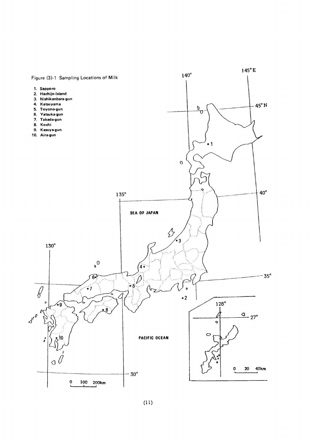

 $(11)$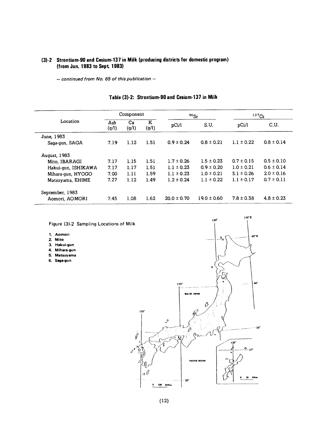## (3)-2 Strontium-90 and Cesium-137 in Milk (producing districts for domestic program) (from Jun. 1983 to Sept. 1983)

 $-$  continued from No. 65 of this publication  $-$ 

|                     |              | Component   |            |                 | $137C_S$<br>$90$ Sr |                |                |
|---------------------|--------------|-------------|------------|-----------------|---------------------|----------------|----------------|
| Location            | Ash<br>(g/l) | Ca<br>(g/l) | K<br>(g/l) | pCi/l           | S.U.                | pCi/l          | C.U.           |
| June, 1983          |              |             |            |                 |                     |                |                |
| Saga-gun, SAGA      | 7.19         | 1.12        | 1.51       | $0.9 \pm 0.24$  | $0.8 \pm 0.21$      | $1.1 \pm 0.22$ | $0.8 \pm 0.14$ |
| <b>August, 1983</b> |              |             |            |                 |                     |                |                |
| Mito, IBARAGI       | 7.17         | 1.15        | 1.51       | $1.7 \pm 0.26$  | $1.5 \pm 0.23$      | $0.7 \pm 0.15$ | $0.5 \pm 0.10$ |
| Hakui-gun, ISHIKAWA | 7.17         | 1.17        | 1.51       | $1.1 \pm 0.23$  | $0.9 \pm 0.20$      | $1.0 \pm 0.21$ | $0.6 \pm 0.14$ |
| Mihara-gun, HYOGO   | 7.00         | 1.11        | 1.59       | $1.1 \pm 0.23$  | $1.0 \pm 0.21$      | $3.1 \pm 0.26$ | $2.0 \pm 0.16$ |
| Matsuyama, EHIME    | 7.27         | 1.12        | 1.49       | $1.2 \pm 0.24$  | $1.1 \pm 0.22$      | $1.1 \pm 0.17$ | $0.7 \pm 0.11$ |
| September, 1983     |              |             |            |                 |                     |                |                |
| Aomori, AOMORI      | 7.45         | 1.08        | 1.62       | $20.0 \pm 0.70$ | $19.0 \pm 0.60$     | $7.8 \pm 0.38$ | $4.8 \pm 0.23$ |

## Table (3)-2: Strontium-90 and Cesium-137 in Milk

Figure (3)-2 Sampling Locations of Milk

- 1. Aomori
- 2. Mito
- 3. Hakui-gun
- 4. Mihara-gun
- 5. Matsuyama
- 6. Saga-gun



145°E

 $140^\circ$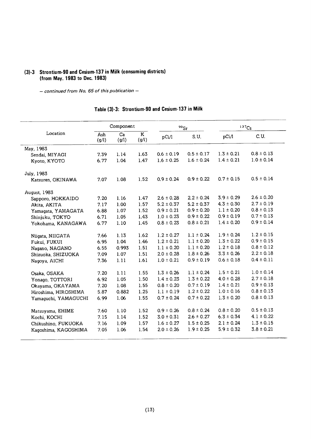#### (3)-3 Strontium-90 and Cesium-137 in Milk (consuming districts) (from May. 1983 to Dec. 1983)

- continued from No. 65 of this publication -

#### Component  $\frac{90}{5}$ sr  $137C<sub>S</sub>$ Location  $\overline{Ash}$   $\overline{Ca}$  K<br>
(g/l) (g/l) (g/l) pCi/l C.U. (g/l)  $(g/l)$  (g/l)  $pCi/l$  S.U. May,1983 7.39 1.14 1.63  $0.6 \pm 0.19$   $0.5 \pm 0.17$  $1.3 \pm 0.21$  $0.8 \pm 0.13$ Sendai, MIYAGI  $1.4 \pm 0.21$  $1.0 \pm 0.14$ 6.77 1.04 1.47  $1.6 \pm 0.25$   $1.6 \pm 0.24$ Kyoto, KYOTO July,1983  $7.07$ 1.08 1.52  $0.9 \pm 0.24$   $0.9 \pm 0.22$  $0.7 \pm 0.15$  $0.5 \pm 0.14$ Katsuren, OKINAWA August,1983  $2.6 \pm 0.28$   $2.2 \pm 0.24$  $3.9 \pm 0.29$  $2.6 \pm 0.20$ Sapporo, HOKKAIDO  $1.4^{\circ}$ 0 2 7  $1.16$  $2.7 \pm 0.19$  $5.2 \pm 0.37$   $5.2 \pm 0.37$  $4.3 \pm 0.30$ Akita, AKITA  $1.5^{\circ}$ 7 1 7 1.00  $0.9 \pm 0.21$   $0.9 \pm 0.20$  $1.1 \pm 0.20$  $0.8 \pm 0.13$ Yamagata, YAMAGATA  $6.88$ 7 0 l 2 5 l  $0.7 \pm 0.13$  $1.0 \pm 0.23$  0.9  $\pm$  0.22  $0.9 \pm 0.19$ Shinjuku, TOKYO 6.71 5 0 l 3 4 l  $0.8 \pm 0.23$   $0.8 \pm 0.21$  $1.4 \pm 0.20$  $0.9 \pm 0.14$ Yokohama, KANAGAWA 6.77 5 4 l 1. I  $1.2 \pm 0.15$ 7.66 1.13 1.62 1.2±0.27 1.1±0.24  $1.9 \pm 0.24$ Niigata, NIIGATA  $1.3 \pm 0.22$  $0.9 \pm 0.15$ Fukui, FUKUI 6.95 1.04 1.46 1.2±0.21 1.1±0.20 6.55 0.993 1.51 1.1±0.20 1.1±0.20  $1.2 \pm 0.18$  $0.8 \pm 0.12$ Nagano, NAGANO  $2.2 \pm 0.18$ 7.09 1.07 1.51 2.0±0.28 1.8±0.26  $3.3 \pm 0.26$ Shizuoka, SHIZUOKA  $0.4\pm0.11$ 7.36 1.11 1.61 1.0±0.21 0.9±0.19  $0.6 \pm 0.18$ Nagoya, AICHI  $1.3 \pm 0.26$   $1.1 \pm 0.24$  $1.5 \pm 0.21$  $1.0 \pm 0.14$  $1.11$ Osaka, OSAKA  $7.20$ 5 5 1 0<br>8<br>8  $4.0 \pm 0.28$  $2.7 \pm 0.18$  $1.4 \pm 0.23$   $1.3 \pm 0.22$ Yonago, TOTTORI 1.05  $6.92$ 0 5 1  $0.9 \pm 0.13$ 1.08  $0.8 \pm 0.20$   $0.7 \pm 0.19$  $1.4 \pm 0.21$ Okayama, OKAYAMA  $7.20$ 5 5 1  $1.1 \pm 0.19$   $1.2 \pm 0.22$  $1.0 \pm 0.16$  $0.8 \pm 0.13$ 0.882 Hiroshima, HIROSHIMA  $5.8^{\circ}$ 1.25  $0.7 \pm 0.24$   $0.7 \pm 0.22$  $0.8 \pm 0.13$  $1.3 \pm 0.20$ Yamaguchi,YAMAGUCHI 1.06  $6.99$ 5 5 1 1.52  $0.9 \pm 0.26$  $0.8 \pm 0.24$  $0.8 \pm 0.20$  $0.5 \pm 0.13$ Matsuyama, EHIME 7.60 1.10  $4.1 \pm 0.22$ 1.14 1.52  $3.0 \pm 0.31$  $2.6 \pm 0.27$  $6.3 \pm 0.34$ Kochi, KOCHI 7.15  $1.3 \pm 0.15$ Chikushino, FUKUOKA 7.16 1.09 1.57  $1.6 \pm 0.27$  $1.5 \pm 0.25$  $2.1 \pm 0.24$ 1.54  $2.0 \pm 0.26$  $1.9 \pm 0.25$  $5.9 \pm 0.32$  $3.8 \pm 0.21$ Kagoshima, KAGOSHIMA 7.05 1.06

#### Table (3)-3: Strontium-90 and Cesium-137 in Milk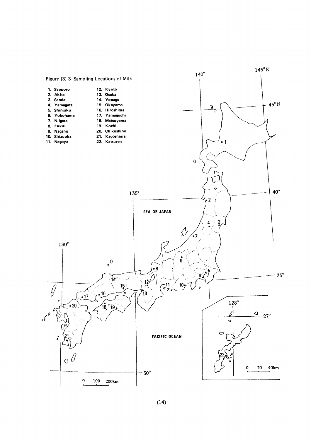

 $\sim$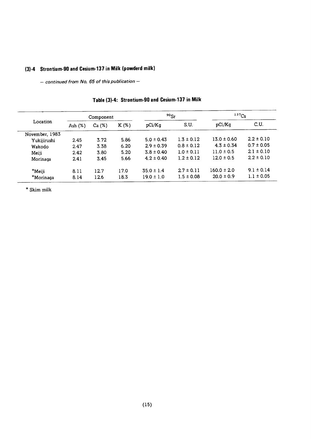## (3)-4 Strontium-90 and Cesium-137 in Milk (powderd milk)

- continued from No. 65 of this publication -

|                |           | Component |         | $90$ Sr        |                | 137C <sub>S</sub> |                |
|----------------|-----------|-----------|---------|----------------|----------------|-------------------|----------------|
| Location       | Ash $(%)$ | Ca(%)     | $K(\%)$ | pCi/Kq         | S.U.           | pCi/Kq            | C.U.           |
| November, 1983 |           |           |         |                |                |                   |                |
| Yukijirushi    | 2.45      | 3.72      | 5.86    | $5.0 \pm 0.43$ | $1.3 \pm 0.12$ | $13.0 \pm 0.60$   | $2.2 \pm 0.10$ |
| Wakodo         | 2.47      | 3.38      | 6.20    | $2.9 \pm 0.39$ | $0.8 \pm 0.12$ | $4.3 \pm 0.34$    | $0.7 \pm 0.05$ |
| Meiji          | 2.42      | 3.80      | 5.20    | $3.8 \pm 0.40$ | $1.0 \pm 0.11$ | $11.0 \pm 0.5$    | $2.1 \pm 0.10$ |
| Morinaga       | 2.41      | 3.45      | 5.66    | $4.2 \pm 0.40$ | $1.2 \pm 0.12$ | $12.0 \pm 0.5$    | $2.2 \pm 0.10$ |
| *Meiji         | 8.11      | 12.7      | 17.0    | $35.0 \pm 1.4$ | $27 \pm 0.11$  | $160.0 \pm 2.0$   | $9.1 \pm 0.14$ |
| *Morinaga      | 8.14      | 12.6      | 18.3    | $19.0 \pm 1.0$ | $1.5 \pm 0.08$ | $20.0 \pm 0.9$    | $1.1 \pm 0.05$ |

| Table (3)-4: Strontium-90 and Cesium-137 in Milk |  |
|--------------------------------------------------|--|
|--------------------------------------------------|--|

 $^\star$  Skim milk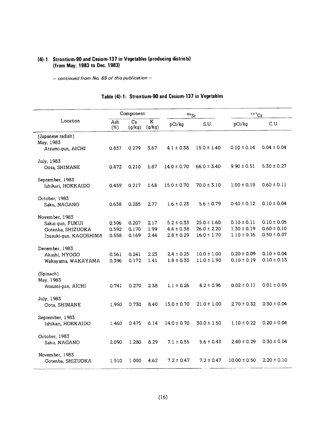## (4)-1 Strontium-90 and Cesium-137 in Vegetables (producing districts) (from May. 1983 to Dec. 1983)

- continued from No. 65 of this publication -

|                        | Component               |                           | $90$ Sr                           |                 | 137C <sub>S</sub> |                  |                 |
|------------------------|-------------------------|---------------------------|-----------------------------------|-----------------|-------------------|------------------|-----------------|
| Location               | $\overline{Ash}$<br>(%) | $\overline{Ca}$<br>(g/kg) | $\overline{\mathbf{K}}$<br>(g/kg) | pCi/kg          | S.U.              | pCi/kg           | C.U.            |
| (Japanese radish)      |                         |                           |                                   |                 |                   |                  |                 |
| May, 1983              |                         |                           |                                   |                 |                   |                  |                 |
| Atsumi-gun, AICHI      | 0.837                   | 0.279                     | 3.67                              | $4.1 \pm 0.38$  | $15.0 \pm 1.40$   | $0.10 \pm 0.14$  | $0.04 \pm 0.04$ |
| July, 1983             |                         |                           |                                   |                 |                   |                  |                 |
| Oota, SHIMANE          | 0.472                   | 0.210                     | 1.87                              | $14.0 \pm 0.70$ | $66.0 \pm 3.40$   | $9.90 \pm 0.51$  | $5.30 \pm 0.27$ |
| September, 1983        |                         |                           |                                   |                 |                   |                  |                 |
| Ishikari, HOKKAIDO     | 0.459                   | 0.217                     | 1.68                              | $15.0 \pm 0.70$ | $70.0 \pm 3.10$   | $1.00 \pm 0.19$  | $0.60 \pm 0.11$ |
| October, 1983          |                         |                           |                                   |                 |                   |                  |                 |
| Saku, NAGANO           | 0.638                   | 0.285                     | 2.77                              | $1.6 \pm 0.23$  | $5.6 \pm 0.79$    | $0.40 \pm 0.12$  | $0.10 \pm 0.04$ |
| November, 1983         |                         |                           |                                   |                 |                   |                  |                 |
| Sakai-gun, FUKUI       | 0.506                   | 0.207                     | 2.17                              | $5.2 \pm 0.33$  | $25.0 \pm 1.60$   | $0.10 \pm 0.11$  | $0.10 \pm 0.05$ |
| Gotenba, SHIZUOKA      | 0.592                   | 0.170                     | 1.99                              | $4.4 \pm 0.38$  | $26.0 \pm 2.20$   | $1.30 \pm 0.19$  | $0.60 \pm 0.10$ |
| Ibusuki-gun, KAGOSHIMA | 0.558                   | 0.169                     | 2.44                              | $2.8 \pm 0.29$  | $16.0 \pm 1.70$   | $1.10 \pm 0.16$  | $0.50 \pm 0.07$ |
| December, 1983         |                         |                           |                                   |                 |                   |                  |                 |
| Akashi, HYOGO          | 0.561                   | 0.241                     | 2.23                              | $2.4 \pm 0.25$  | $10.0 \pm 1.00$   | $0.20 \pm 0.09$  | $0.10 \pm 0.04$ |
| Wakayama, WAKAYAMA     | 0.396                   | 0.172                     | 1.41                              | $1.8 \pm 0.33$  | $11.0 \pm 1.90$   | $0.10 \pm 0.19$  | $0.10 \pm 0.13$ |
| (Spinach)              |                         |                           |                                   |                 |                   |                  |                 |
| May, 1983              |                         |                           |                                   |                 |                   |                  |                 |
| Atsumi-gun, AICHI      | 0.741                   | 0.270                     | 238                               | $1.1 \pm 0.26$  | $4.2 \pm 0.96$    | $0.02 \pm 0.11$  | $0.01 \pm 0.05$ |
| July, 1983             |                         |                           |                                   |                 |                   |                  |                 |
| Oota, SHIMANE          | 1.950                   | 0.730                     | 8.40                              | $15.0 \pm 0.70$ | $21.0 \pm 1.00$   | $2.70 \pm 0.32$  | $0.30 \pm 0.04$ |
| September, 1983        |                         |                           |                                   |                 |                   |                  |                 |
| Ishikari, HOKKAIDO     | 1.460                   | 0.475                     | 6.14                              | $14.0 \pm 0.70$ | $30.0 \pm 1.50$   | $1.10 \pm 0.22$  | $0.20 \pm 0.04$ |
| October, 1983          |                         |                           |                                   |                 |                   |                  |                 |
| Saku, NAGANO           | 2090                    | 1.280                     | 8.29                              | $7.1 \pm 0.55$  | $5.6 \pm 0.43$    | $2.40 \pm 0.29$  | $0.30 \pm 0.04$ |
| November, 1983         |                         |                           |                                   |                 |                   |                  |                 |
| Gotenba, SHIZUOKA      | 1.510                   | 1.000                     | 4.62                              | $7.2 \pm 0.47$  | $7.2 \pm 0.47$    | $10.00 \pm 0.50$ | $2.20 \pm 0.10$ |

## Table (4)-1: Strontium-90 and Cesium-137 in Vegetables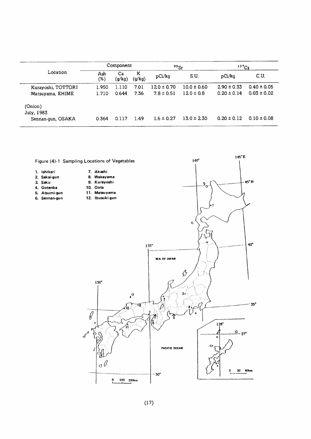|                       | Component  |              | $90$ Sr     |                | 137C <sub>S</sub> |                 |                 |
|-----------------------|------------|--------------|-------------|----------------|-------------------|-----------------|-----------------|
| Location              | Ash<br>(%) | Ca<br>(g/kg) | Κ<br>(g/kg) | pCi/kg         | S.U.              | pCi/kg          | C.U.            |
| Kurayoshi, TOTTORI    | 1.950      | 1.110        | 7.01        | $120 \pm 0.70$ | $10.0 \pm 0.60$   | $2.90 \pm 0.33$ | $0.40 \pm 0.05$ |
| Matsuyama, EHIME      | 1.710      | 0.644        | 7.36        | $7.8 \pm 0.51$ | $120 \pm 0.8$     | $0.20 \pm 0.14$ | $0.03 \pm 0.02$ |
| (Onion)<br>July, 1983 |            |              |             |                |                   |                 |                 |
| Sennan-gun, OSAKA     | 0.364      | 0.117        | 1.49        | $1.6 \pm 0.27$ | $13.0 \pm 2.30$   | $0.20 \pm 0.12$ | $0.10 \pm 0.08$ |

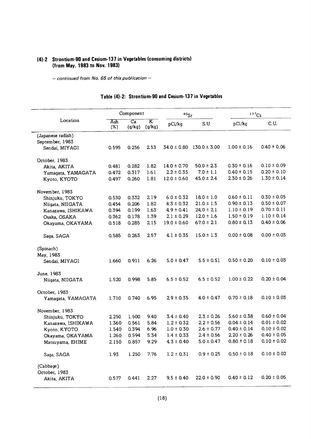## (4)-2 Strontium-90 and Cesium-137 in Vegetables (consuming districts) (from May. 1983 to Nov. 1983)

- continued from No. 65 of this publication -

|                    |            | Component                 |                                   | $90$ Sr         |                  | 137C <sub>S</sub> |                 |
|--------------------|------------|---------------------------|-----------------------------------|-----------------|------------------|-------------------|-----------------|
| Location           | Ash<br>(%) | $\overline{Ca}$<br>(g/kg) | $\overline{\texttt{K}}$<br>(g/kg) | pCi/kg          | S.U.             | pCi/kg            | C.U.            |
| (Japanese radish)  |            |                           |                                   |                 |                  |                   |                 |
| September, 1983    |            |                           |                                   |                 |                  |                   |                 |
| Sendai, MIYAGI     | 0.595      | 0.256                     | 2.53                              | $34.0 \pm 0.80$ | $130.0 \pm 3.00$ | $1.00 \pm 0.16$   | $0.40 \pm 0.06$ |
| October, 1983      |            |                           |                                   |                 |                  |                   |                 |
| Akita, AKITA       | 0.481      | 0.282                     | 1.82                              | $14.0 \pm 0.70$ | $50.0 \pm 2.3$   | $0.30 \pm 0.16$   | $0.10 \pm 0.09$ |
| Yamagata, YAMAGATA | 0.472      | 0.317                     | 1.61                              | $2.2 \pm 0.35$  | $7.0 \pm 1.1$    | $0.40 \pm 0.15$   | $0.20 \pm 0.10$ |
| Kyoto, KYOTO       | 0.497      | 0.260                     | 1.81                              | $12.0 \pm 0.60$ | $45.0 \pm 2.4$   | $2.30 \pm 0.26$   | $1.30 \pm 0.14$ |
| November, 1983     |            |                           |                                   |                 |                  |                   |                 |
| Shinjuku, TOKYO    | 0.530      | 0.332                     | 2.19                              | $6.0 \pm 0.32$  | $18.0 \pm 1.0$   | $0.60 \pm 0.11$   | $0.30 \pm 0.05$ |
| Niigata, NIIGATA   | 0.454      | 0.206                     | 1.82                              | $4.3 \pm 0.32$  | $21.0 \pm 1.5$   | $0.90 \pm 0.13$   | $0.50 \pm 0.07$ |
| Kanazawa, ISHIKAWA | 0.394      | 0.199                     | 1.63                              | $4.9 \pm 0.41$  | $24.0 \pm 2.1$   | $1.10 \pm 0.19$   | $0.70 \pm 0.11$ |
| Osaka, OSAKA       | 0.362      | 0.178                     | 1.39                              | $2.1 \pm 0.29$  | $12.0 \pm 1.6$   | $1.50 \pm 0.19$   | $1.10 \pm 0.14$ |
| Okayama, OKAYAMA   | 0.518      | 0.285                     | 2.15                              | $19.0 \pm 0.60$ | $67.0 \pm 21$    | $0.80 \pm 0.13$   | $0.40 \pm 0.06$ |
| Saga, SAGA         | 0.585      | 0.263                     | 2.57                              | $4.1 \pm 0.35$  | $15.0 \pm 1.3$   | $0.00 \pm 0.08$   | $0.00 \pm 0.03$ |
| (Spinach)          |            |                           |                                   |                 |                  |                   |                 |
| May, 1983          |            |                           |                                   |                 |                  |                   |                 |
| Sendai, MIYAGI     | 1.660      | 0.911                     | 6.26                              | $5.0 \pm 0.47$  | $5.5 \pm 0.51$   | $0.50 \pm 0.20$   | $0.10 \pm 0.03$ |
| June, 1983         |            |                           |                                   |                 |                  |                   |                 |
| Niigata, NIIGATA   | 1.520      | 0.998                     | 5.85                              | $6.5 \pm 0.52$  | $6.5 \pm 0.52$   | $1.00 \pm 0.22$   | $0.20 \pm 0.04$ |
| October, 1983      |            |                           |                                   |                 |                  |                   |                 |
| Yamagata, YAMAGATA | 1.710      | 0.740                     | 6.95                              | $29 \pm 0.35$   | $4.0 \pm 0.47$   | $0.70 \pm 0.18$   | $0.10 \pm 0.03$ |
| November, 1983     |            |                           |                                   |                 |                  |                   |                 |
| Shinjuku, TOKYO    | 2.250      | 1.500                     | 9.40                              | $3.4 \pm 0.40$  | $2.3 \pm 0.26$   | $5.60 \pm 0.38$   | $0.60 \pm 0.04$ |
| Kanazawa, ISHIKAWA | 1.360      | 0.561                     | 5.84                              | $1.2 \pm 0.32$  | $2.2 \pm 0.56$   | $0.04 \pm 0.14$   | $0.01 \pm 0.02$ |
| Kyoto, KYOTO       | 1.540      | 0.394                     | 6.96                              | $1.0 \pm 0.30$  | $2.6 \pm 0.77$   | $0.40 \pm 0.14$   | $0.10 \pm 0.02$ |
| Okayama, OKAYAMA   | 1.260      | 0.594                     | 5.34                              | $1.4 \pm 0.33$  | $2.4 \pm 0.56$   | $2.20 \pm 0.26$   | $0.40 \pm 0.05$ |
| Matsuyama, EHIME   | 2.150      | 0.857                     | 9.29                              | $4.3 \pm 0.40$  | $5.0 \pm 0.47$   | $0.80 \pm 0.18$   | $0.10 \pm 0.02$ |
| Saga, SAGA         | 1.93       | 1.250                     | 7.76                              | $1.2 \pm 0.31$  | $0.9 \pm 0.25$   | $0.50 \pm 0.18$   | $0.10 \pm 0.02$ |
| (Cabbage)          |            |                           |                                   |                 |                  |                   |                 |
| October, 1983      |            |                           |                                   |                 |                  |                   |                 |
| Akita, AKITA       | 0.577      | 0.441                     | 2.27                              | $9.5 \pm 0.40$  | $22.0 \pm 0.90$  | $0.40 \pm 0.12$   | $0.20 \pm 0.05$ |

## Table (4)-2: Strontium-90 and Cesium-137 in Vegetables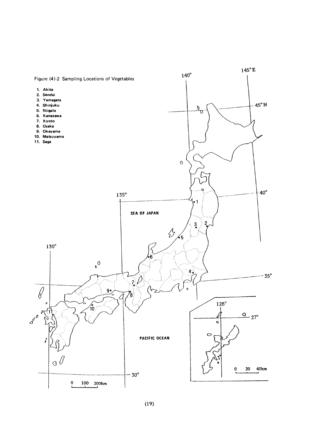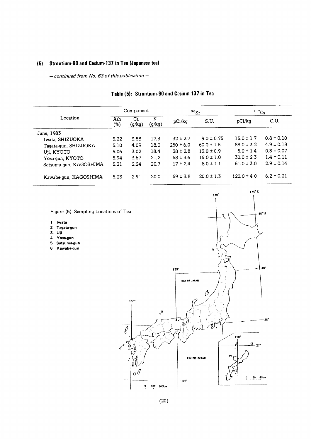## (5) Strontium-90 and Cesium-137 in Tea (Japanese tea)

- continued from No. 63 of this publication -

|                        |            | Component    |             | $90$ Sr       |                | $137C_S$        |                |
|------------------------|------------|--------------|-------------|---------------|----------------|-----------------|----------------|
| Location               | Ash<br>(%) | Ca<br>(g/kg) | K<br>(g/kg) | pCi/kg        | S.U.           | pCi/kq          | C.U.           |
| June, 1983             |            |              |             |               |                |                 |                |
| Iwata, SHIZUOKA        | 5.22       | 3.58         | 17.3        | $32 \pm 2.7$  | $9.0 \pm 0.75$ | $15.0 \pm 1.7$  | $0.8 \pm 0.10$ |
| Tagata-gun, SHIZUOKA   | 5.10       | 4.09         | 18.0        | $250 \pm 6.0$ | $60.0 \pm 1.5$ | $88.0 \pm 3.2$  | $4.9 \pm 0.18$ |
| Uji, KYOTO             | 5.06       | 3.02         | 18.4        | $38 \pm 28$   | $13.0 \pm 0.9$ | $5.0 \pm 1.4$   | $0.3 \pm 0.07$ |
| Yosa-gun, KYOTO        | 5.94       | 3.67         | 21.2        | $58 \pm 3.6$  | $16.0 \pm 1.0$ | $30.0 \pm 2.3$  | $1.4 \pm 0.11$ |
| Satsuma-gun, KAGOSHIMA | 5.31       | 2.24         | 20.7        | $17 \pm 24$   | $8.0 \pm 1.1$  | $61.0 \pm 3.0$  | $2.9 \pm 0.14$ |
| Kawabe-gun, KAGOSHIMA  | 5.23       | 2.91         | 20.0        | $59 \pm 3.8$  | $20.0 \pm 1.3$ | $120.0 \pm 4.0$ | $6.2 \pm 0.21$ |

## Table (5): Strontium-90 and Cesium-137 in Tea

Figure (5) Sampling Locations of Tea

- l.Iwata
- 2.Tagata-gun
- 3.Uji
- 4.Yosa-gun
- 5.Satsuma-gun
- 6. Kawabe-gun

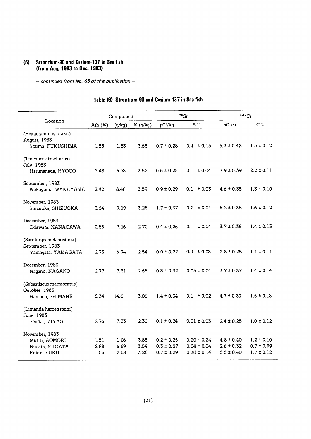#### (6) Strontium-90 and Cesium-137 in Sea fish (from Aug. 1983 to Dec. 1983)

- continued from No. 65 of this publication -

|                                                                     |                      | Component            |                      |                                                    | $90$ <sub>Sr</sub>                                    |                                                    | $137C_S$                                           |
|---------------------------------------------------------------------|----------------------|----------------------|----------------------|----------------------------------------------------|-------------------------------------------------------|----------------------------------------------------|----------------------------------------------------|
| Location                                                            | Ash $(%)$            | (g/kg)               | K(g/kg)              | pCi/kg                                             | S.U.                                                  | pCi/kg                                             | C.U.                                               |
| (Hexagrammos otakii)<br>August, 1983<br>Souma, FUKUSHIMA            | 1.55                 | 1.83                 | 3.65                 | $0.7 \pm 0.28$                                     | $0.4 \pm 0.15$                                        | $5.3 \pm 0.42$                                     | $1.5 \pm 0.12$                                     |
| (Trachurus trachurus)<br>July, 1983<br>Harimanada, HYOGO            | 2.48                 | 5.73                 | 3.62                 | $0.6 \pm 0.25$                                     | $0.1 \pm 0.04$                                        | $7.9 \pm 0.39$                                     | $2.2 \pm 0.11$                                     |
| September, 1983<br>Wakayama, WAKAYAMA                               | 3.42                 | 8.48                 | 3.59                 | $0.9 \pm 0.29$                                     | $0.1 \pm 0.03$                                        | $4.6 \pm 0.35$                                     | $1.3 \pm 0.10$                                     |
| November, 1983<br>Shizuoka, SHIZUOKA                                | 3.64                 | 9.19                 | 3.25                 | $1.7 \pm 0.37$                                     | $0.2 \pm 0.04$                                        | $5.2 \pm 0.38$                                     | $1.6 \pm 0.12$                                     |
| December, 1983<br>Odawara, KANAGAWA                                 | 3.55                 | 7.16                 | 2.70                 | $0.4 \pm 0.26$                                     | $0.1 \pm 0.04$                                        | $3.7 \pm 0.36$                                     | $1.4 \pm 0.13$                                     |
| (Sardinops melanosticta)<br>September, 1983<br>Yamagata, YAMAGATA   | 273                  | 6.74                 | 2.54                 | $0.0 \pm 0.22$                                     | $0.0 \pm 0.03$                                        | $2.8 \pm 0.28$                                     | $1.1 \pm 0.11$                                     |
| December, 1983<br>Nagano, NAGANO                                    | 2.77                 | 7.31                 | 2.65                 | $0.3 \pm 0.32$                                     | $0.05 \pm 0.04$                                       | $3.7 \pm 0.37$                                     | $1.4 \pm 0.14$                                     |
| (Sebastiscus marmoratus)<br>Oetober, 1983<br>Hamada, SHIMANE        | 5.34                 | 14.6                 | 3.06                 | $1.4 \pm 0.34$                                     | $0.1 \pm 0.02$                                        | $4.7 \pm 0.39$                                     | $1.5 \pm 0.13$                                     |
| (Limanda herzensteini)<br>June, 1983<br>Sendai, MIYAGI              | 276                  | 7.33                 | 2.30                 | $0.1 \pm 0.24$                                     | $0.01 \pm 0.03$                                       | $2.4 \pm 0.28$                                     | $1.0 \pm 0.12$                                     |
| November, 1983<br>Mutsu, AOMORI<br>Niigata, NIIGATA<br>Fukui, FUKUI | 1.51<br>2.88<br>1.53 | 1.06<br>6.69<br>2.08 | 3.85<br>3.59<br>3.26 | $0.2 \pm 0.25$<br>$0.3 \pm 0.27$<br>$0.7 \pm 0.29$ | $0.20 \pm 0.24$<br>$0.04 \pm 0.04$<br>$0.30 \pm 0.14$ | $4.8 \pm 0.40$<br>$2.6 \pm 0.32$<br>$5.5 \pm 0.40$ | $1.2 \pm 0.10$<br>$0.7 \pm 0.09$<br>$1.7 \pm 0.12$ |

#### Table (6) Strontium-90 and Cesium-137 in Sea fish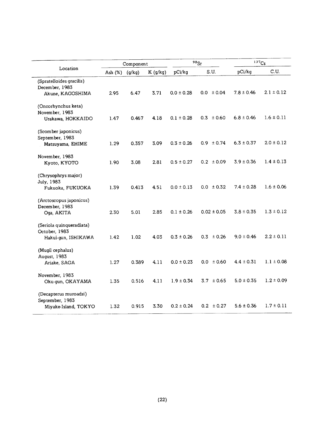|                                                                  |           | Component |         |                | 90Sr            | 137C <sub>S</sub> |                |
|------------------------------------------------------------------|-----------|-----------|---------|----------------|-----------------|-------------------|----------------|
| Location                                                         | Ash $(%)$ | (g/kg)    | K(g/kg) | pCi/kq         | S.U.            | pCi/kg            | C.U.           |
| (Spratelloides gracilis)<br>December, 1983<br>Akune, KAGOSHIMA   | 2.95      | 6.47      | 3.71    | $0.0 \pm 0.28$ | $0.0 \pm 0.04$  | $7.8 \pm 0.46$    | $2.1 \pm 0.12$ |
| (Oncorhynchus keta)<br>November, 1983<br>Urakawa, HOKKAIDO       | 1.47      | 0.467     | 4.18    | $0.1 \pm 0.28$ | $0.3 \pm 0.60$  | $6.8 \pm 0.46$    | $1.6 \pm 0.11$ |
| (Scomber japonicus)<br>September, 1983<br>Matsuyama, EHIME       | 1.29      | 0.357     | 3.09    | $0.3 \pm 0.26$ | $0.9 \pm 0.74$  | $6.3 \pm 0.37$    | $2.0 \pm 0.12$ |
| November, 1983<br>Kyoto, KYOTO                                   | 1.90      | 3.08      | 2.81    | $0.5 \pm 0.27$ | $0.2 \pm 0.09$  | $3.9 \pm 0.36$    | $1.4 \pm 0.13$ |
| (Chrysophrys major)<br>July, 1983<br>Fukuoka, FUKUOKA            | 1.39      | 0.413     | 4.51    | $0.0 \pm 0.13$ | $0.0 \pm 0.32$  | $7.4 \pm 0.28$    | $1.6 \pm 0.06$ |
| (Arctoscopus japonicus)<br>December, 1983<br>Oga, AKITA          | 2.30      | 5.01      | 2.85    | $0.1 \pm 0.26$ | $0.02 \pm 0.05$ | $3.8 \pm 0.35$    | $1.3 \pm 0.12$ |
| (Seriola quinqueradiata)<br>October, 1983<br>Hakui-gun, ISHIKAWA | 1.42      | 1.02      | 4.03    | $0.3 \pm 0.26$ | ± 0.26<br>0.3   | $9.0 \pm 0.46$    | $2.2 \pm 0.11$ |
| (Mugil cephalus)<br>August, 1983<br>Ariake, SAGA                 | 1.27      | 0.389     | 4.11    | $0.0 \pm 0.23$ | $0.0 \pm 0.60$  | $4.4 \pm 0.31$    | $1.1 \pm 0.08$ |
| November, 1983<br>Oku-gun, OKAYAMA                               | 1.35      | 0.516     | 4.11    | $1.9 \pm 0.34$ | $3.7 \pm 0.65$  | $5.0 \pm 0.35$    | $1.2 \pm 0.09$ |
| (Decapterus muroadsi)<br>September, 1983<br>Miyake-Island, TOKYO | 1.32      | 0.915     | 3.30    | $0.2 \pm 0.24$ | $0.2 \pm 0.27$  | $5.6 \pm 0.36$    | $1.7 \pm 0.11$ |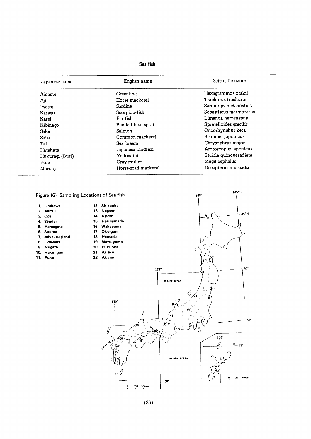#### Sea fish

| Japanese name   | English name        | Scientific name        |  |  |
|-----------------|---------------------|------------------------|--|--|
| Ainame          | Greenling           | Hexagrammos otakii     |  |  |
| Aji             | Horse mackerel      | Trachurus trachurus    |  |  |
| Iwashi          | Sardine             | Sardinops melanosticta |  |  |
| Kasago          | Scorpion-fish       | Sebastiscus marmoratus |  |  |
| Karei           | <b>Flatfish</b>     | Limanda herzensteini   |  |  |
| Kibinago        | Banded blue-sprat   | Spratelloides gracilis |  |  |
| Sake            | Salmon              | Oncorhynchus keta      |  |  |
| Saba            | Common mackerel     | Scomber japonicus      |  |  |
| Tai             | Sea bream           | Chrysophrys major      |  |  |
| Hatahata        | Japanese sandfish   | Arctoscopus japonicus  |  |  |
| Hukuragi (Buri) | Yellow-tail         | Seriola quinqueradiata |  |  |
| Bora            | Gray mullet         | Mugil cephalus         |  |  |
| Muroaji         | Horse-scad mackerel | Decapterus muroadsi    |  |  |

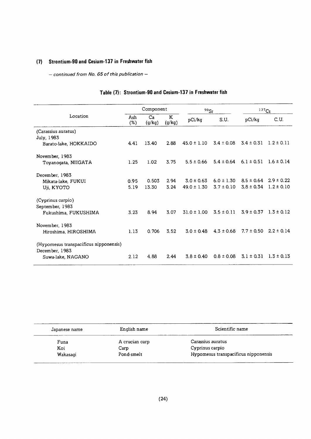## (7) Strontium-90 and Cesium-137 in Freshwater fish

 $-$  continued from No. 65 of this publication  $-$ 

|                                                          |               | Component    |             | $90$ Sr         |                | 137C <sub>S</sub> |                |
|----------------------------------------------------------|---------------|--------------|-------------|-----------------|----------------|-------------------|----------------|
| Location                                                 | Ash<br>$(\%)$ | Ca<br>(g/kg) | K<br>(g/kg) | pCi/kg          | S.U.           | pCi/kg            | C.U.           |
| (Carassius auratus)                                      |               |              |             |                 |                |                   |                |
| July, 1983                                               |               |              |             |                 |                |                   |                |
| Barato-lake, HOKKAIDO                                    | 4.41          | 13.40        | 2.88        | $45.0 \pm 1.10$ | $3.4 \pm 0.08$ | $3.4 \pm 0.31$    | $1.2 \pm 0.11$ |
| November, 1983                                           |               |              |             |                 |                |                   |                |
| Toyanogata, NIIGATA                                      | 1.25          | 1.02         | 3.75        | $5.5 \pm 0.66$  | $5.4 \pm 0.64$ | $6.1 \pm 0.51$    | $1.6 \pm 0.14$ |
| December, 1983                                           |               |              |             |                 |                |                   |                |
| Mikata-lake, FUKUI                                       | 0.95          | 0.503        | 2.94        | $3.0 \pm 0.63$  | $6.0 \pm 1.30$ | $8.5 \pm 0.64$    | $2.9 \pm 0.22$ |
| Uji, KYOTO                                               | 5.19          | 13.30        | 3.24        | $49.0 \pm 1.30$ | $3.7 \pm 0.10$ | $3.8 \pm 0.34$    | $1.2 \pm 0.10$ |
| (Cyprinus carpio)                                        |               |              |             |                 |                |                   |                |
| September, 1983                                          |               |              |             |                 |                |                   |                |
| Fukushima, FUKUSHIMA                                     | 3.23          | 8.94         | 3.07        | $31.0 \pm 1.00$ | $3.5 \pm 0.11$ | $3.9 \pm 0.37$    | $1.3 \pm 0.12$ |
| November, 1983                                           |               |              |             |                 |                |                   |                |
| Hiroshima, HIROSHIMA                                     | 1.13          | 0.706        | 3.52        | $3.0 \pm 0.48$  | $4.3 \pm 0.68$ | $7.7 \pm 0.50$    | $2.2 \pm 0.14$ |
| (Hypomesus transpacificus nipponensis)<br>December, 1983 |               |              |             |                 |                |                   |                |
|                                                          | 2.12          | 4.88         | 2.44        | $3.8 \pm 0.40$  | $0.8 \pm 0.08$ | $3.1 \pm 0.31$    | $1.3 \pm 0.13$ |
| Suwa-lake, NAGANO                                        |               |              |             |                 |                |                   |                |

## Table (7): Strontium-90 and Cesium-137 in Freshwater fish

| Japanese name | English name   | Scientific name                      |
|---------------|----------------|--------------------------------------|
| Funa          | A crucian carp | Carassius auratus                    |
| Koi           | Carp           | Cyprinus carpio                      |
| Wakasagi      | Pond-smelt     | Hypomesus transpacificus nipponensis |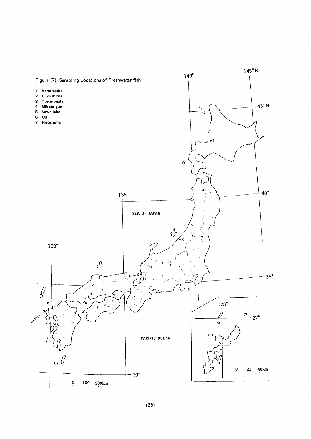

 $(25)$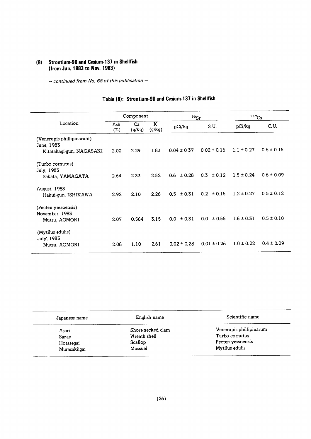## (8) Strontium-90 and Cesium-137 in Shellfish (from Jun. 1983 to Nov. 1983)

 $-$  continued from No. 65 of this publication  $-$ 

## Table (8): Strontium-90 and Cesium-137 in Shellfish

|                           |            | Component    |             | $90$ Sr                    |                 | 137C <sub>S</sub> |                |
|---------------------------|------------|--------------|-------------|----------------------------|-----------------|-------------------|----------------|
| Location                  | Ash<br>(%) | Ca<br>(g/kg) | K<br>(g/kg) | pCi/kg                     | S.U.            | pCi/kg            | C.U.           |
| (Venerupis phillipinarum) |            |              |             |                            |                 |                   |                |
| June, 1983                |            |              |             |                            |                 |                   |                |
| Kitatakagi-gun, NAGASAKI  | 2.00       | 2.29         | 1.83        | $0.04 \pm 0.37$            | $0.02 \pm 0.16$ | $1.1 \pm 0.27$    | $0.6 \pm 0.15$ |
| (Turbo cornutus)          |            |              |             |                            |                 |                   |                |
| July, 1983                |            |              |             |                            |                 |                   |                |
| Sakata, YAMAGATA          | 2.64       | 2.33         | 2.52        | $0.6 \pm 0.28$             | 0.3<br>± 0.12   | $1.5 \pm 0.24$    | $0.6 \pm 0.09$ |
| August, 1983              |            |              |             |                            |                 |                   |                |
| Hakui-gun, ISHIKAWA       | 2.92       | 2.10         | 2.26        | 0.5<br>$\pm 0.31$          | ± 0.15<br>0.2   | $1.2 \pm 0.27$    | $0.5 \pm 0.12$ |
| (Pecten yessoensis)       |            |              |             |                            |                 |                   |                |
| November, 1983            |            |              |             |                            |                 |                   |                |
| Mutsu, AOMORI             | 2.07       | 0.564        | 3.15        | ± 0.31<br>0.0 <sub>1</sub> | ± 0.55<br>0.0   | $1.6 \pm 0.31$    | $0.5 \pm 0.10$ |
| (Mytilus edulis)          |            |              |             |                            |                 |                   |                |
| July, 1983                |            |              |             |                            |                 |                   |                |
| Mutsu, AOMORI             | 2.08       | 1.10         | 2.61        | $0.02 \pm 0.28$            | $0.01 \pm 0.26$ | $1.0 \pm 0.22$    | $0.4 \pm 0.09$ |

| Japanese name | English name      | Scientific name         |
|---------------|-------------------|-------------------------|
| Asari         | Short-necked clam | Venerupis phillipinarum |
| Sazae         | Wreath shell      | Turbo cornutus          |
| Hotategai     | Scallop           | Pecten yessoensis       |
| Murasakiigai  | Mussuel           | Mytilus edulis          |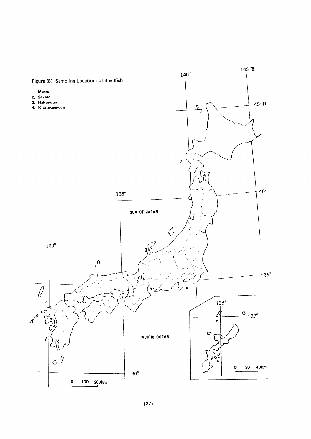

 $(27)$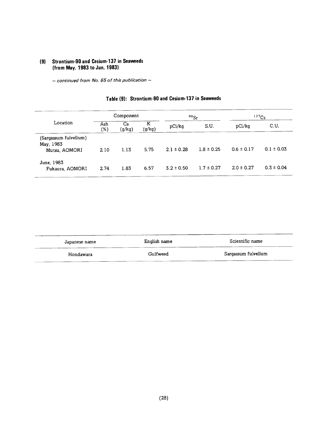## (9) Strontium-90 and Cesium-137 in Seaweeds (from May. 1983 to Jun. 1983)

 $-$  continued from No. 65 of this publication  $-$ 

|                                                     | Component  |              |             | $90$ <sub>Sr</sub> |                | 137C <sub>S</sub> |                |
|-----------------------------------------------------|------------|--------------|-------------|--------------------|----------------|-------------------|----------------|
| Location                                            | Ash<br>(%) | Ca<br>(g/kg) | Κ<br>(g/kg) | pCi/kg             | S.U.           | pCi/kg            | C.U.           |
| (Sargassum fulvellum)<br>May, 1983<br>Mutsu, AOMORI | 2.10       | 1.13         | 5.75        | $2.1 \pm 0.28$     | $1.8 \pm 0.25$ | $0.6 \pm 0.17$    | $0.1 \pm 0.03$ |
| June, 1983<br>Fukaura, AOMORI                       | 2.74       | 1.83         | 6.57        | $3.2 \pm 0.50$     | $1.7 \pm 0.27$ | $2.0 \pm 0.27$    | $0.3 \pm 0.04$ |

## Table (9): Strontium-90 and Cesium-137 in Seaweeds

| Japanese name | English name | Scientific name     |
|---------------|--------------|---------------------|
| Hondawara     | Gulfweed     | Sargassum fulvellum |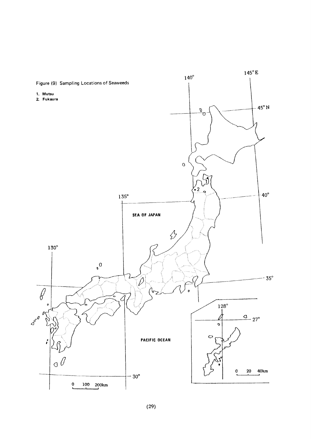